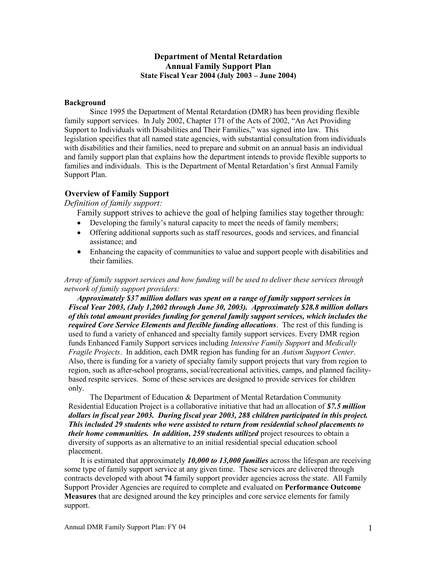### **Department of Mental Retardation Annual Family Support Plan State Fiscal Year 2004 (July 2003 – June 2004)**

#### **Background**

Since 1995 the Department of Mental Retardation (DMR) has been providing flexible family support services. In July 2002, Chapter 171 of the Acts of 2002, "An Act Providing Support to Individuals with Disabilities and Their Families," was signed into law. This legislation specifies that all named state agencies, with substantial consultation from individuals with disabilities and their families, need to prepare and submit on an annual basis an individual and family support plan that explains how the department intends to provide flexible supports to families and individuals. This is the Department of Mental Retardation's first Annual Family Support Plan.

### **Overview of Family Support**

#### *Definition of family support:*

Family support strives to achieve the goal of helping families stay together through:

- Developing the family's natural capacity to meet the needs of family members;
- Offering additional supports such as staff resources, goods and services, and financial assistance; and
- Enhancing the capacity of communities to value and support people with disabilities and their families.

*Array of family support services and how funding will be used to deliver these services through network of family support providers:* 

*Approximately \$37 million dollars was spent on a range of family support services in Fiscal Year 2003, (July 1,2002 through June 30, 2003).**Approximately \$28.8 million dollars of this total amount provides funding for general family support services, which includes the required Core Service Elements and flexible funding allocations*. The rest of this funding is used to fund a variety of enhanced and specialty family support services. Every DMR region funds Enhanced Family Support services including *Intensive Family Support* and *Medically Fragile Projects*. In addition, each DMR region has funding for an *Autism Support Center*. Also, there is funding for a variety of specialty family support projects that vary from region to region, such as after-school programs, social/recreational activities, camps, and planned facilitybased respite services. Some of these services are designed to provide services for children only.

The Department of Education & Department of Mental Retardation Community Residential Education Project is a collaborative initiative that had an allocation of *\$7.5 million dollars in fiscal year 2003. During fiscal year 2003, 288 children participated in this project. This included 29 students who were assisted to return from residential school placements to their home communities. In addition, 259 students utilized* project resources to obtain a diversity of supports as an alternative to an initial residential special education school placement.

It is estimated that approximately *10,000 to 13,000 families* across the lifespan are receiving some type of family support service at any given time. These services are delivered through contracts developed with about **74** family support provider agencies across the state. All Family Support Provider Agencies are required to complete and evaluated on **Performance Outcome Measures** that are designed around the key principles and core service elements for family support.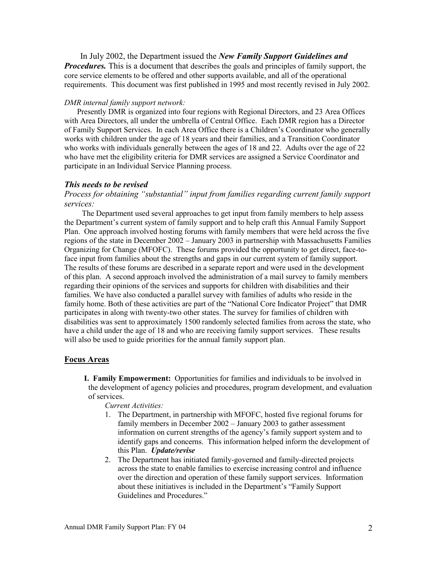In July 2002, the Department issued the *New Family Support Guidelines and Procedures.* This is a document that describes the goals and principles of family support, the core service elements to be offered and other supports available, and all of the operational requirements. This document was first published in 1995 and most recently revised in July 2002.

#### *DMR internal family support network:*

Presently DMR is organized into four regions with Regional Directors, and 23 Area Offices with Area Directors, all under the umbrella of Central Office. Each DMR region has a Director of Family Support Services. In each Area Office there is a Children's Coordinator who generally works with children under the age of 18 years and their families, and a Transition Coordinator who works with individuals generally between the ages of 18 and 22. Adults over the age of 22 who have met the eligibility criteria for DMR services are assigned a Service Coordinator and participate in an Individual Service Planning process.

#### *This needs to be revised*

*Process for obtaining "substantial" input from families regarding current family support services:*

The Department used several approaches to get input from family members to help assess the Department's current system of family support and to help craft this Annual Family Support Plan. One approach involved hosting forums with family members that were held across the five regions of the state in December 2002 – January 2003 in partnership with Massachusetts Families Organizing for Change (MFOFC). These forums provided the opportunity to get direct, face-toface input from families about the strengths and gaps in our current system of family support. The results of these forums are described in a separate report and were used in the development of this plan. A second approach involved the administration of a mail survey to family members regarding their opinions of the services and supports for children with disabilities and their families. We have also conducted a parallel survey with families of adults who reside in the family home. Both of these activities are part of the "National Core Indicator Project" that DMR participates in along with twenty-two other states. The survey for families of children with disabilities was sent to approximately 1500 randomly selected families from across the state, who have a child under the age of 18 and who are receiving family support services. These results will also be used to guide priorities for the annual family support plan.

#### **Focus Areas**

**I. Family Empowerment:** Opportunities for families and individuals to be involved in the development of agency policies and procedures, program development, and evaluation of services.

*Current Activities:*

- 1. The Department, in partnership with MFOFC, hosted five regional forums for family members in December 2002 – January 2003 to gather assessment information on current strengths of the agency's family support system and to identify gaps and concerns. This information helped inform the development of this Plan. *Update/revise*
- 2. The Department has initiated family-governed and family-directed projects across the state to enable families to exercise increasing control and influence over the direction and operation of these family support services. Information about these initiatives is included in the Department's "Family Support Guidelines and Procedures."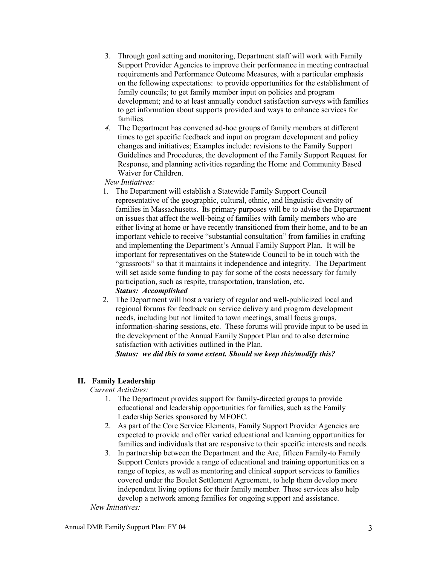- 3. Through goal setting and monitoring, Department staff will work with Family Support Provider Agencies to improve their performance in meeting contractual requirements and Performance Outcome Measures, with a particular emphasis on the following expectations: to provide opportunities for the establishment of family councils; to get family member input on policies and program development; and to at least annually conduct satisfaction surveys with families to get information about supports provided and ways to enhance services for families.
- *4.* The Department has convened ad-hoc groups of family members at different times to get specific feedback and input on program development and policy changes and initiatives; Examples include: revisions to the Family Support Guidelines and Procedures, the development of the Family Support Request for Response, and planning activities regarding the Home and Community Based Waiver for Children.

*New Initiatives:*

- 1. The Department will establish a Statewide Family Support Council representative of the geographic, cultural, ethnic, and linguistic diversity of families in Massachusetts. Its primary purposes will be to advise the Department on issues that affect the well-being of families with family members who are either living at home or have recently transitioned from their home, and to be an important vehicle to receive "substantial consultation" from families in crafting and implementing the Department's Annual Family Support Plan. It will be important for representatives on the Statewide Council to be in touch with the "grassroots" so that it maintains it independence and integrity. The Department will set aside some funding to pay for some of the costs necessary for family participation, such as respite, transportation, translation, etc. *Status: Accomplished*
- 2. The Department will host a variety of regular and well-publicized local and regional forums for feedback on service delivery and program development needs, including but not limited to town meetings, small focus groups, information-sharing sessions, etc. These forums will provide input to be used in the development of the Annual Family Support Plan and to also determine satisfaction with activities outlined in the Plan.

*Status: we did this to some extent. Should we keep this/modify this?*

## **II. Family Leadership**

*Current Activities:*

- 1. The Department provides support for family-directed groups to provide educational and leadership opportunities for families, such as the Family Leadership Series sponsored by MFOFC.
- 2. As part of the Core Service Elements, Family Support Provider Agencies are expected to provide and offer varied educational and learning opportunities for families and individuals that are responsive to their specific interests and needs.
- 3. In partnership between the Department and the Arc, fifteen Family-to Family Support Centers provide a range of educational and training opportunities on a range of topics, as well as mentoring and clinical support services to families covered under the Boulet Settlement Agreement, to help them develop more independent living options for their family member. These services also help develop a network among families for ongoing support and assistance.

*New Initiatives:*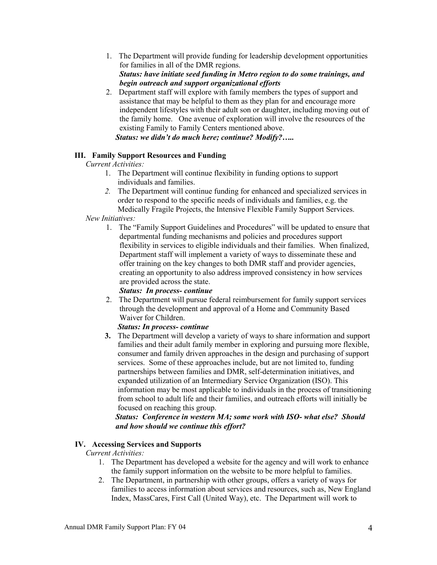- 1. The Department will provide funding for leadership development opportunities for families in all of the DMR regions. *Status: have initiate seed funding in Metro region to do some trainings, and begin outreach and support organizational efforts*
- 2. Department staff will explore with family members the types of support and assistance that may be helpful to them as they plan for and encourage more independent lifestyles with their adult son or daughter, including moving out of the family home. One avenue of exploration will involve the resources of the existing Family to Family Centers mentioned above. *Status: we didn't do much here; continue? Modify?…..*

### **III. Family Support Resources and Funding**

*Current Activities:*

- 1. The Department will continue flexibility in funding options to support individuals and families.
- *2.* The Department will continue funding for enhanced and specialized services in order to respond to the specific needs of individuals and families, e.g. the Medically Fragile Projects, the Intensive Flexible Family Support Services.

### *New Initiatives:*

1. The "Family Support Guidelines and Procedures" will be updated to ensure that departmental funding mechanisms and policies and procedures support flexibility in services to eligible individuals and their families. When finalized, Department staff will implement a variety of ways to disseminate these and offer training on the key changes to both DMR staff and provider agencies, creating an opportunity to also address improved consistency in how services are provided across the state.

## *Status: In process- continue*

2. The Department will pursue federal reimbursement for family support services through the development and approval of a Home and Community Based Waiver for Children.

#### *Status: In process- continue*

**3.** The Department will develop a variety of ways to share information and support families and their adult family member in exploring and pursuing more flexible, consumer and family driven approaches in the design and purchasing of support services. Some of these approaches include, but are not limited to, funding partnerships between families and DMR, self-determination initiatives, and expanded utilization of an Intermediary Service Organization (ISO). This information may be most applicable to individuals in the process of transitioning from school to adult life and their families, and outreach efforts will initially be focused on reaching this group.

*Status: Conference in western MA; some work with ISO- what else? Should and how should we continue this effort?*

## **IV. Accessing Services and Supports**

*Current Activities:*

- 1. The Department has developed a website for the agency and will work to enhance the family support information on the website to be more helpful to families.
- 2. The Department, in partnership with other groups, offers a variety of ways for families to access information about services and resources, such as, New England Index, MassCares, First Call (United Way), etc. The Department will work to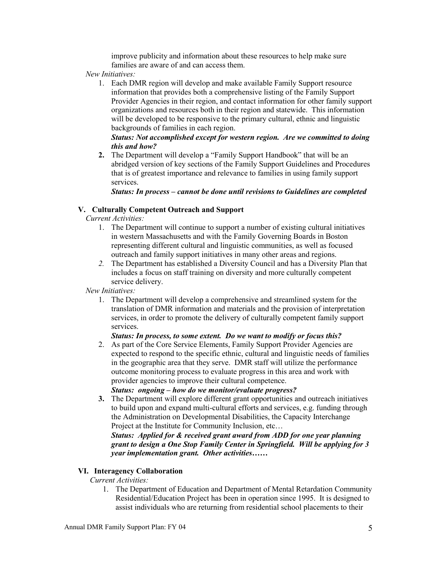improve publicity and information about these resources to help make sure families are aware of and can access them.

*New Initiatives:*

1. Each DMR region will develop and make available Family Support resource information that provides both a comprehensive listing of the Family Support Provider Agencies in their region, and contact information for other family support organizations and resources both in their region and statewide. This information will be developed to be responsive to the primary cultural, ethnic and linguistic backgrounds of families in each region.

### *Status: Not accomplished except for western region. Are we committed to doing this and how?*

**2.** The Department will develop a "Family Support Handbook" that will be an abridged version of key sections of the Family Support Guidelines and Procedures that is of greatest importance and relevance to families in using family support services.

### *Status: In process – cannot be done until revisions to Guidelines are completed*

# **V. Culturally Competent Outreach and Support**

*Current Activities:*

- 1. The Department will continue to support a number of existing cultural initiatives in western Massachusetts and with the Family Governing Boards in Boston representing different cultural and linguistic communities, as well as focused outreach and family support initiatives in many other areas and regions.
- *2.* The Department has established a Diversity Council and has a Diversity Plan that includes a focus on staff training on diversity and more culturally competent service delivery.

*New Initiatives:*

1. The Department will develop a comprehensive and streamlined system for the translation of DMR information and materials and the provision of interpretation services, in order to promote the delivery of culturally competent family support services.

## *Status: In process, to some extent. Do we want to modify or focus this?*

2. As part of the Core Service Elements, Family Support Provider Agencies are expected to respond to the specific ethnic, cultural and linguistic needs of families in the geographic area that they serve. DMR staff will utilize the performance outcome monitoring process to evaluate progress in this area and work with provider agencies to improve their cultural competence.

*Status: ongoing – how do we monitor/evaluate progress?*

**3.** The Department will explore different grant opportunities and outreach initiatives to build upon and expand multi-cultural efforts and services, e.g. funding through the Administration on Developmental Disabilities, the Capacity Interchange Project at the Institute for Community Inclusion, etc…

# *Status: Applied for & received grant award from ADD for one year planning grant to design a One Stop Family Center in Springfield. Will be applying for 3 year implementation grant. Other activities……*

# **VI. Interagency Collaboration**

*Current Activities:*

1. The Department of Education and Department of Mental Retardation Community Residential/Education Project has been in operation since 1995. It is designed to assist individuals who are returning from residential school placements to their